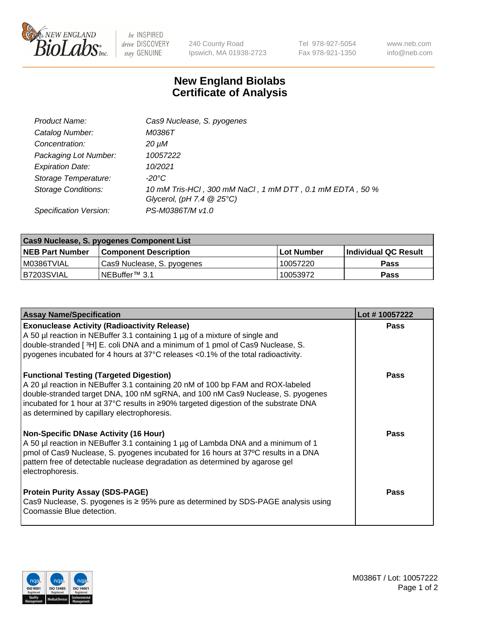

 $be$  INSPIRED drive DISCOVERY stay GENUINE

240 County Road Ipswich, MA 01938-2723 Tel 978-927-5054 Fax 978-921-1350 www.neb.com info@neb.com

## **New England Biolabs Certificate of Analysis**

| Product Name:              | Cas9 Nuclease, S. pyogenes                                                              |
|----------------------------|-----------------------------------------------------------------------------------------|
| Catalog Number:            | M0386T                                                                                  |
| Concentration:             | 20 µM                                                                                   |
| Packaging Lot Number:      | 10057222                                                                                |
| <b>Expiration Date:</b>    | 10/2021                                                                                 |
| Storage Temperature:       | -20°C                                                                                   |
| <b>Storage Conditions:</b> | 10 mM Tris-HCl, 300 mM NaCl, 1 mM DTT, 0.1 mM EDTA, 50 %<br>Glycerol, (pH 7.4 $@25°C$ ) |
| Specification Version:     | PS-M0386T/M v1.0                                                                        |

| <b>Cas9 Nuclease, S. pyogenes Component List</b> |                              |                   |                      |  |  |
|--------------------------------------------------|------------------------------|-------------------|----------------------|--|--|
| <b>NEB Part Number</b>                           | <b>Component Description</b> | <b>Lot Number</b> | Individual QC Result |  |  |
| I M0386TVIAL                                     | Cas9 Nuclease, S. pyogenes   | 10057220          | <b>Pass</b>          |  |  |
| B7203SVIAL                                       | INEBuffer™ 3.1               | 10053972          | <b>Pass</b>          |  |  |

| <b>Assay Name/Specification</b>                                                                                                                                                                                                                                                                                                                              | Lot #10057222 |
|--------------------------------------------------------------------------------------------------------------------------------------------------------------------------------------------------------------------------------------------------------------------------------------------------------------------------------------------------------------|---------------|
| <b>Exonuclease Activity (Radioactivity Release)</b><br>A 50 µl reaction in NEBuffer 3.1 containing 1 µg of a mixture of single and<br>double-stranded [ <sup>3</sup> H] E. coli DNA and a minimum of 1 pmol of Cas9 Nuclease, S.<br>pyogenes incubated for 4 hours at 37°C releases <0.1% of the total radioactivity.                                        | <b>Pass</b>   |
| <b>Functional Testing (Targeted Digestion)</b><br>A 20 µl reaction in NEBuffer 3.1 containing 20 nM of 100 bp FAM and ROX-labeled<br>double-stranded target DNA, 100 nM sgRNA, and 100 nM Cas9 Nuclease, S. pyogenes<br> incubated for 1 hour at 37°C results in ≥90% targeted digestion of the substrate DNA<br>as determined by capillary electrophoresis. | <b>Pass</b>   |
| <b>Non-Specific DNase Activity (16 Hour)</b><br>A 50 µl reaction in NEBuffer 3.1 containing 1 µg of Lambda DNA and a minimum of 1<br> pmol of Cas9 Nuclease, S. pyogenes incubated for 16 hours at 37°C results in a DNA<br>pattern free of detectable nuclease degradation as determined by agarose gel<br>electrophoresis.                                 | <b>Pass</b>   |
| <b>Protein Purity Assay (SDS-PAGE)</b><br>Cas9 Nuclease, S. pyogenes is $\geq$ 95% pure as determined by SDS-PAGE analysis using<br>Coomassie Blue detection.                                                                                                                                                                                                | <b>Pass</b>   |